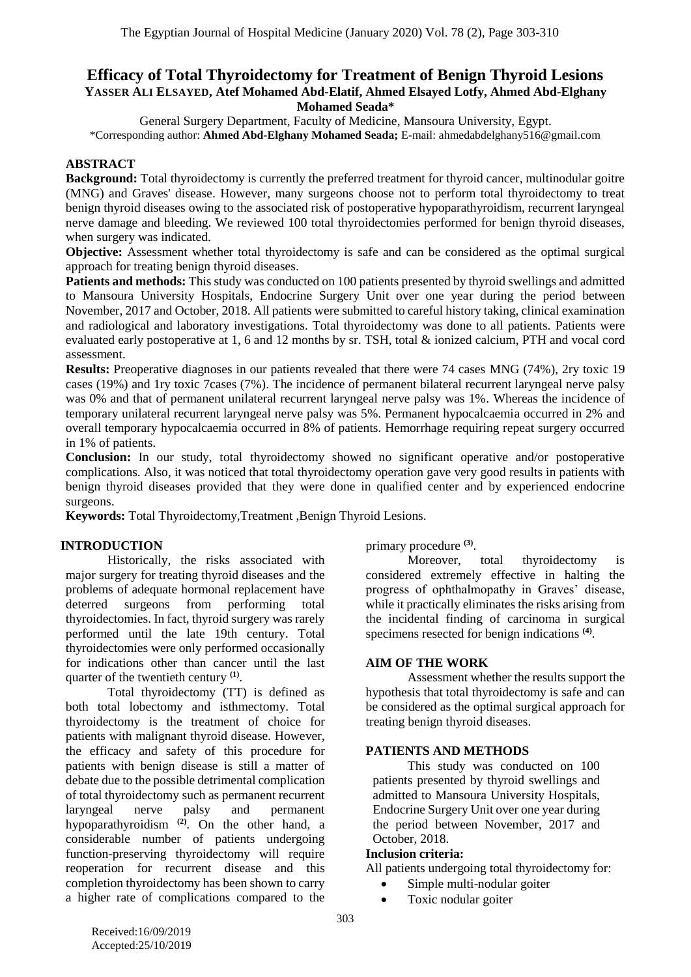## **Efficacy of Total Thyroidectomy for Treatment of Benign Thyroid Lesions YASSER ALI ELSAYED, Atef Mohamed Abd-Elatif, Ahmed Elsayed Lotfy, Ahmed Abd-Elghany Mohamed Seada\***

General Surgery Department, Faculty of Medicine, Mansoura University, Egypt. \*Corresponding author: **Ahmed Abd-Elghany Mohamed Seada;** E-mail: ahmedabdelghany516@gmail.com

## **ABSTRACT**

**Background:** Total thyroidectomy is currently the preferred treatment for thyroid cancer, multinodular goitre (MNG) and Graves' disease. However, many surgeons choose not to perform total thyroidectomy to treat benign thyroid diseases owing to the associated risk of postoperative hypoparathyroidism, recurrent laryngeal nerve damage and bleeding. We reviewed 100 total thyroidectomies performed for benign thyroid diseases, when surgery was indicated.

**Objective:** Assessment whether total thyroidectomy is safe and can be considered as the optimal surgical approach for treating benign thyroid diseases.

**Patients and methods:** This study was conducted on 100 patients presented by thyroid swellings and admitted to Mansoura University Hospitals, Endocrine Surgery Unit over one year during the period between November, 2017 and October, 2018. All patients were submitted to careful history taking, clinical examination and radiological and laboratory investigations. Total thyroidectomy was done to all patients. Patients were evaluated early postoperative at 1, 6 and 12 months by sr. TSH, total & ionized calcium, PTH and vocal cord assessment.

**Results:** Preoperative diagnoses in our patients revealed that there were 74 cases MNG (74%), 2ry toxic 19 cases (19%) and 1ry toxic 7cases (7%). The incidence of permanent bilateral recurrent laryngeal nerve palsy was 0% and that of permanent unilateral recurrent laryngeal nerve palsy was 1%. Whereas the incidence of temporary unilateral recurrent laryngeal nerve palsy was 5%. Permanent hypocalcaemia occurred in 2% and overall temporary hypocalcaemia occurred in 8% of patients. Hemorrhage requiring repeat surgery occurred in 1% of patients.

**Conclusion:** In our study, total thyroidectomy showed no significant operative and/or postoperative complications. Also, it was noticed that total thyroidectomy operation gave very good results in patients with benign thyroid diseases provided that they were done in qualified center and by experienced endocrine surgeons.

**Keywords:** Total Thyroidectomy,Treatment ,Benign Thyroid Lesions.

## **INTRODUCTION**

Historically, the risks associated with major surgery for treating thyroid diseases and the problems of adequate hormonal replacement have deterred surgeons from performing total thyroidectomies. In fact, thyroid surgery was rarely performed until the late 19th century. Total thyroidectomies were only performed occasionally for indications other than cancer until the last quarter of the twentieth century **(1)** .

Total thyroidectomy (TT) is defined as both total lobectomy and isthmectomy. Total thyroidectomy is the treatment of choice for patients with malignant thyroid disease. However, the efficacy and safety of this procedure for patients with benign disease is still a matter of debate due to the possible detrimental complication of total thyroidectomy such as permanent recurrent laryngeal nerve palsy and permanent hypoparathyroidism **(2)** . On the other hand, a considerable number of patients undergoing function-preserving thyroidectomy will require reoperation for recurrent disease and this completion thyroidectomy has been shown to carry a higher rate of complications compared to the primary procedure **(3)** .

Moreover, total thyroidectomy is considered extremely effective in halting the progress of ophthalmopathy in Graves' disease, while it practically eliminates the risks arising from the incidental finding of carcinoma in surgical specimens resected for benign indications **(4)** .

## **AIM OF THE WORK**

Assessment whether the results support the hypothesis that total thyroidectomy is safe and can be considered as the optimal surgical approach for treating benign thyroid diseases.

#### **PATIENTS AND METHODS**

This study was conducted on 100 patients presented by thyroid swellings and admitted to Mansoura University Hospitals, Endocrine Surgery Unit over one year during the period between November, 2017 and October, 2018.

#### **Inclusion criteria:**

All patients undergoing total thyroidectomy for:

- Simple multi-nodular goiter
- Toxic nodular goiter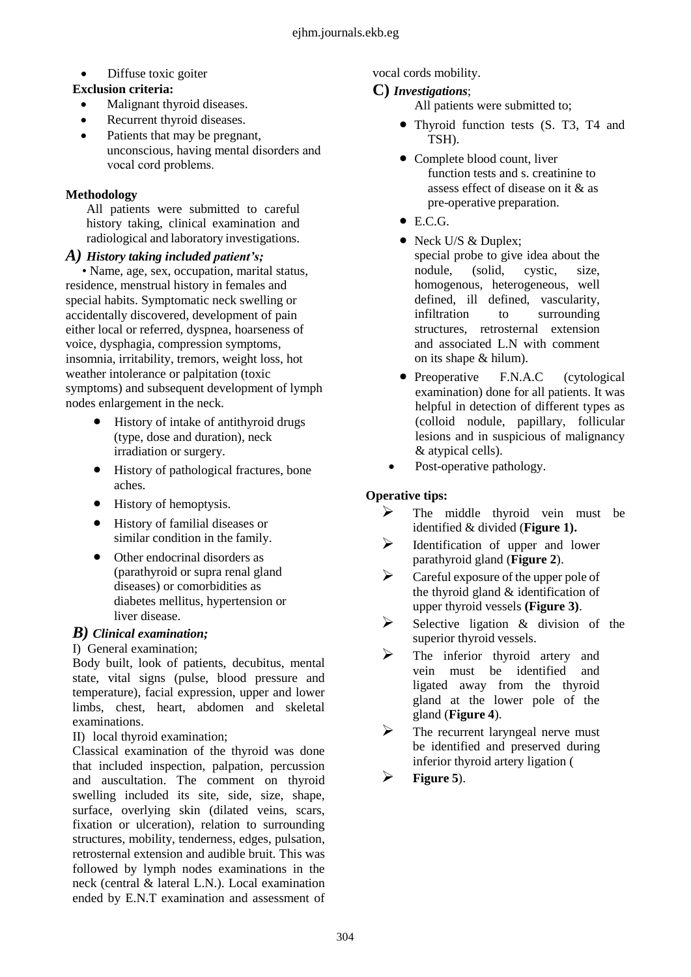• Diffuse toxic goiter

# **Exclusion criteria:**

- Malignant thyroid diseases.
- Recurrent thyroid diseases.
- Patients that may be pregnant, unconscious, having mental disorders and vocal cord problems.

# **Methodology**

All patients were submitted to careful history taking, clinical examination and radiological and laboratory investigations.

## *A) History taking included patient's;*

• Name, age, sex, occupation, marital status, residence, menstrual history in females and special habits. Symptomatic neck swelling or accidentally discovered, development of pain either local or referred, dyspnea, hoarseness of voice, dysphagia, compression symptoms, insomnia, irritability, tremors, weight loss, hot weather intolerance or palpitation (toxic symptoms) and subsequent development of lymph nodes enlargement in the neck.

- History of intake of antithyroid drugs (type, dose and duration), neck irradiation or surgery.
- History of pathological fractures, bone aches.
- History of hemoptysis.
- History of familial diseases or similar condition in the family.
- Other endocrinal disorders as (parathyroid or supra renal gland diseases) or comorbidities as diabetes mellitus, hypertension or liver disease.

# *B) Clinical examination;*

## I) General examination;

Body built, look of patients, decubitus, mental state, vital signs (pulse, blood pressure and temperature), facial expression, upper and lower limbs, chest, heart, abdomen and skeletal examinations.

II) local thyroid examination;

Classical examination of the thyroid was done that included inspection, palpation, percussion and auscultation. The comment on thyroid swelling included its site, side, size, shape, surface, overlying skin (dilated veins, scars, fixation or ulceration), relation to surrounding structures, mobility, tenderness, edges, pulsation, retrosternal extension and audible bruit. This was followed by lymph nodes examinations in the neck (central & lateral L.N.). Local examination ended by E.N.T examination and assessment of vocal cords mobility.

# **C)** *Investigations*;

All patients were submitted to;

- Thyroid function tests (S. T3, T4 and TSH).
- Complete blood count, liver function tests and s. creatinine to assess effect of disease on it & as pre-operative preparation.
- E.C.G.
- Neck U/S & Duplex; special probe to give idea about the nodule, (solid, cystic, size, homogenous, heterogeneous, well defined, ill defined, vascularity, infiltration to surrounding structures, retrosternal extension and associated L.N with comment on its shape & hilum).
- Preoperative F.N.A.C (cytological examination) done for all patients. It was helpful in detection of different types as (colloid nodule, papillary, follicular lesions and in suspicious of malignancy & atypical cells).
- Post-operative pathology.

# **Operative tips:**

- $\triangleright$  The middle thyroid vein must be identified & divided (**Figure 1).**
- $\triangleright$  Identification of upper and lower parathyroid gland (**Figure 2**).
- $\triangleright$  Careful exposure of the upper pole of the thyroid gland & identification of upper thyroid vessels **(Figure 3)**.
- $\triangleright$  Selective ligation & division of the superior thyroid vessels.
- $\triangleright$  The inferior thyroid artery and vein must be identified and ligated away from the thyroid gland at the lower pole of the gland (**Figure 4**).
- $\triangleright$  The recurrent laryngeal nerve must be identified and preserved during inferior thyroid artery ligation (
- $\triangleright$  **Figure** 5).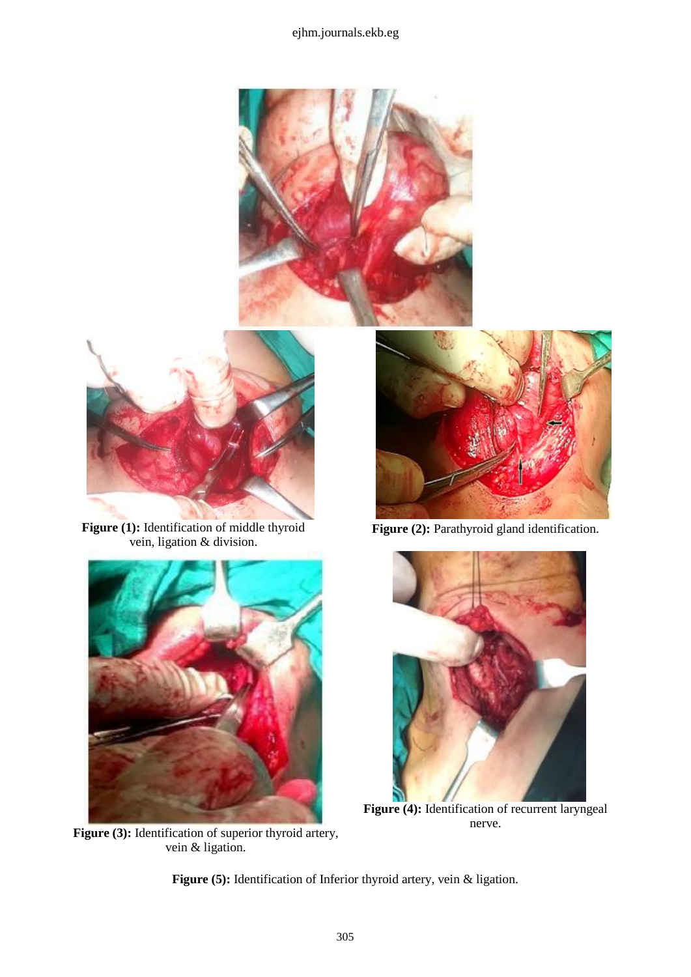## ejhm.journals.ekb.eg





**Figure (1):** Identification of middle thyroid vein, ligation & division.



Figure (3): Identification of superior thyroid artery, vein & ligation.



Figure (2): Parathyroid gland identification.



**Figure (4):** Identification of recurrent laryngeal nerve.

**Figure (5):** Identification of Inferior thyroid artery, vein & ligation.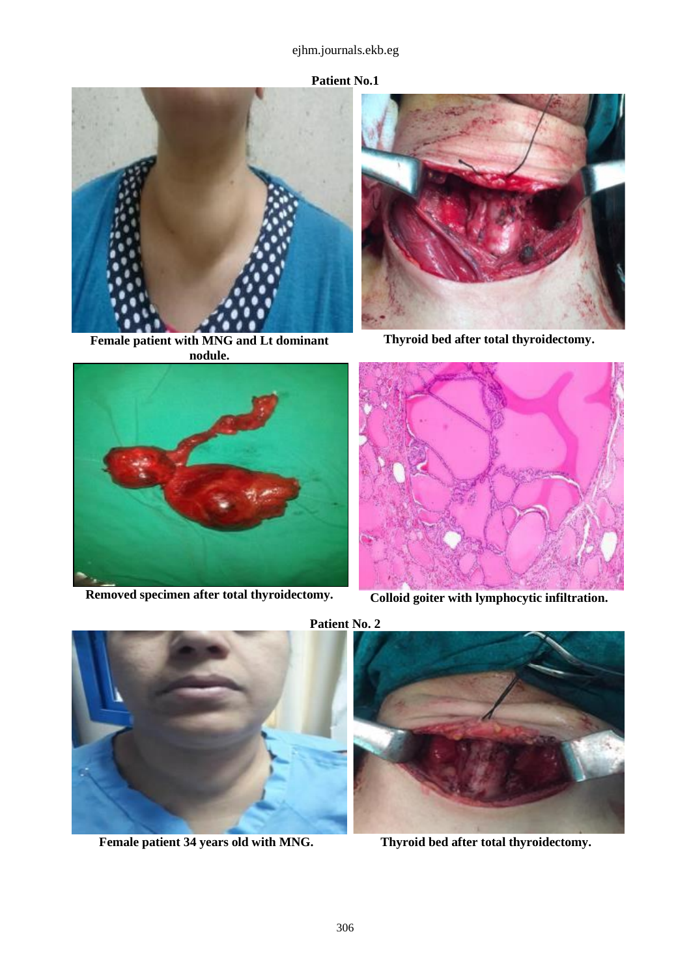## ejhm.journals.ekb.eg



**Female patient with MNG and Lt dominant nodule.**



**Removed specimen after total thyroidectomy. Colloid goiter with lymphocytic infiltration.**



**Thyroid bed after total thyroidectomy.**





**Female patient 34 years old with MNG. Thyroid bed after total thyroidectomy.**



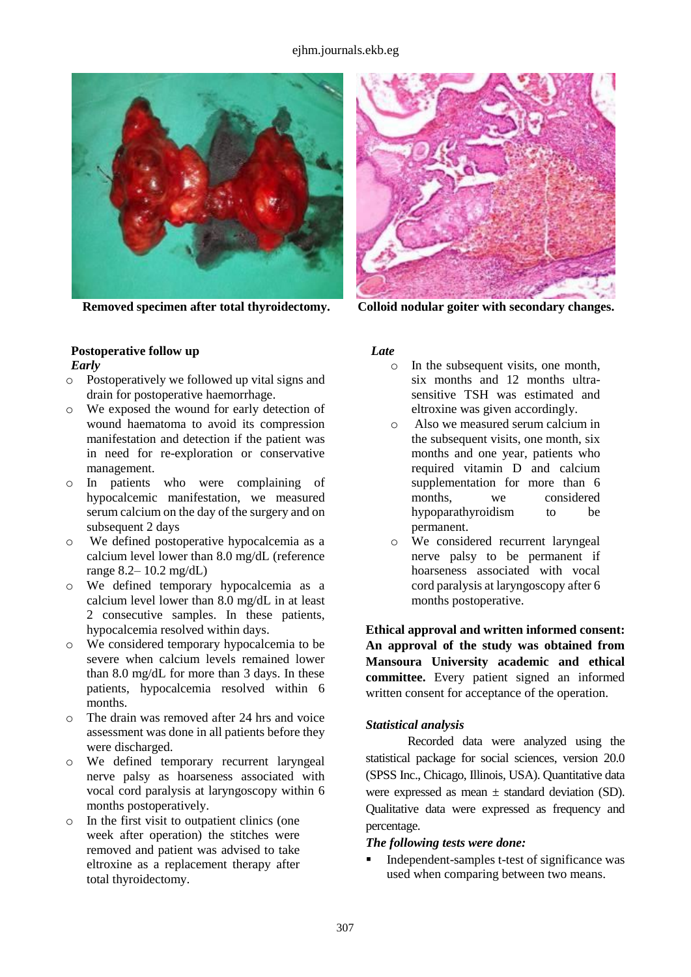#### ejhm.journals.ekb.eg



#### **Postoperative follow up** *Early*

- o Postoperatively we followed up vital signs and drain for postoperative haemorrhage.
- o We exposed the wound for early detection of wound haematoma to avoid its compression manifestation and detection if the patient was in need for re-exploration or conservative management.
- o In patients who were complaining of hypocalcemic manifestation, we measured serum calcium on the day of the surgery and on subsequent 2 days
- o We defined postoperative hypocalcemia as a calcium level lower than 8.0 mg/dL (reference range 8.2– 10.2 mg/dL)
- o We defined temporary hypocalcemia as a calcium level lower than 8.0 mg/dL in at least 2 consecutive samples. In these patients, hypocalcemia resolved within days.
- o We considered temporary hypocalcemia to be severe when calcium levels remained lower than 8.0 mg/dL for more than 3 days. In these patients, hypocalcemia resolved within 6 months.
- o The drain was removed after 24 hrs and voice assessment was done in all patients before they were discharged.
- o We defined temporary recurrent laryngeal nerve palsy as hoarseness associated with vocal cord paralysis at laryngoscopy within 6 months postoperatively.
- o In the first visit to outpatient clinics (one week after operation) the stitches were removed and patient was advised to take eltroxine as a replacement therapy after total thyroidectomy.



**Removed specimen after total thyroidectomy. Colloid nodular goiter with secondary changes.**

## *Late*

- o In the subsequent visits, one month, six months and 12 months ultrasensitive TSH was estimated and eltroxine was given accordingly.
- o Also we measured serum calcium in the subsequent visits, one month, six months and one year, patients who required vitamin D and calcium supplementation for more than 6 months, we considered hypoparathyroidism to be permanent.
- o We considered recurrent laryngeal nerve palsy to be permanent if hoarseness associated with vocal cord paralysis at laryngoscopy after 6 months postoperative.

**Ethical approval and written informed consent: An approval of the study was obtained from Mansoura University academic and ethical committee.** Every patient signed an informed written consent for acceptance of the operation.

#### *Statistical analysis*

Recorded data were analyzed using the statistical package for social sciences, version 20.0 (SPSS Inc., Chicago, Illinois, USA). Quantitative data were expressed as mean  $\pm$  standard deviation (SD). Qualitative data were expressed as frequency and percentage.

#### *The following tests were done:*

 Independent-samples t-test of significance was used when comparing between two means.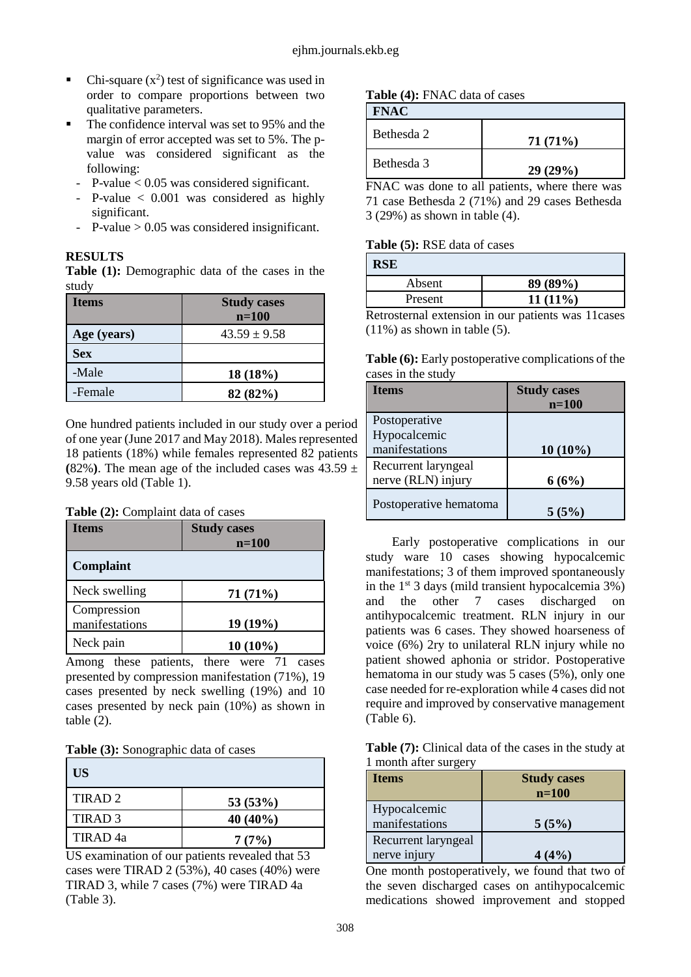- Chi-square  $(x^2)$  test of significance was used in order to compare proportions between two qualitative parameters.
- The confidence interval was set to 95% and the margin of error accepted was set to 5%. The pvalue was considered significant as the following:
	- P-value < 0.05 was considered significant.
	- P-value < 0.001 was considered as highly significant.
	- P-value  $> 0.05$  was considered insignificant.

## **RESULTS**

**Table (1):** Demographic data of the cases in the study

| <b>Items</b> | <b>Study cases</b><br>$n=100$ |
|--------------|-------------------------------|
| Age (years)  | $43.59 \pm 9.58$              |
| <b>Sex</b>   |                               |
| -Male        | 18(18%)                       |
| -Female      | 82(82%)                       |

One hundred patients included in our study over a period of one year (June 2017 and May 2018). Males represented 18 patients (18%) while females represented 82 patients (82%). The mean age of the included cases was  $43.59 \pm 1$ 9.58 years old (Table 1).

#### **Table (2):** Complaint data of cases

| Items                         | <b>Study cases</b> |
|-------------------------------|--------------------|
|                               | $n=100$            |
| <b>Complaint</b>              |                    |
| Neck swelling                 | 71(71%)            |
| Compression<br>manifestations | 19(19%)            |
| Neck pain                     | $10(10\%)$         |

Among these patients, there were 71 cases presented by compression manifestation (71%), 19 cases presented by neck swelling (19%) and 10 cases presented by neck pain (10%) as shown in table (2).

|  |  | Table (3): Sonographic data of cases |  |  |  |  |
|--|--|--------------------------------------|--|--|--|--|
|--|--|--------------------------------------|--|--|--|--|

| <b>US</b>           |            |
|---------------------|------------|
| TIRAD <sub>2</sub>  | 53(53%)    |
| TIRAD <sub>3</sub>  | $40(40\%)$ |
| TIRAD <sub>4a</sub> | 7(7%)      |

US examination of our patients revealed that 53 cases were TIRAD 2 (53%), 40 cases (40%) were TIRAD 3, while 7 cases (7%) were TIRAD 4a (Table 3).

## **Table (4):** FNAC data of cases

|  | ٧<br>۱A |
|--|---------|
|--|---------|

| TIVAU      |         |
|------------|---------|
| Bethesda 2 | 71(71%) |
| Bethesda 3 | 29(29%) |

FNAC was done to all patients, where there was 71 case Bethesda 2 (71%) and 29 cases Bethesda 3 (29%) as shown in table (4).

#### **Table (5):** RSE data of cases

| <b>RSE</b> |                                                    |
|------------|----------------------------------------------------|
| Absent     | 89 (89%)                                           |
| Present    | $11(11\%)$                                         |
|            | Detroiternal extension in our petients was 1100000 |

Retrosternal extension in our patients was 11cases  $(11\%)$  as shown in table  $(5)$ .

| <b>Table (6):</b> Early postoperative complications of the |
|------------------------------------------------------------|
| cases in the study                                         |

| Items                  | <b>Study cases</b> |
|------------------------|--------------------|
|                        | $n=100$            |
| Postoperative          |                    |
| Hypocalcemic           |                    |
| manifestations         | $10(10\%)$         |
| Recurrent laryngeal    |                    |
| nerve (RLN) injury     | 6(6%)              |
| Postoperative hematoma |                    |
|                        | 5(5%)              |

Early postoperative complications in our study ware 10 cases showing hypocalcemic manifestations; 3 of them improved spontaneously in the  $1<sup>st</sup>$  3 days (mild transient hypocalcemia 3%) and the other 7 cases discharged on antihypocalcemic treatment. RLN injury in our patients was 6 cases. They showed hoarseness of voice (6%) 2ry to unilateral RLN injury while no patient showed aphonia or stridor. Postoperative hematoma in our study was 5 cases (5%), only one case needed for re-exploration while 4 cases did not require and improved by conservative management (Table 6).

**Table (7):** Clinical data of the cases in the study at 1 month after surgery

| <b>Items</b>                        | <b>Study cases</b><br>$n=100$ |
|-------------------------------------|-------------------------------|
| Hypocalcemic<br>manifestations      | 5(5%)                         |
| Recurrent laryngeal<br>nerve injury | 4(4%)                         |

One month postoperatively, we found that two of the seven discharged cases on antihypocalcemic medications showed improvement and stopped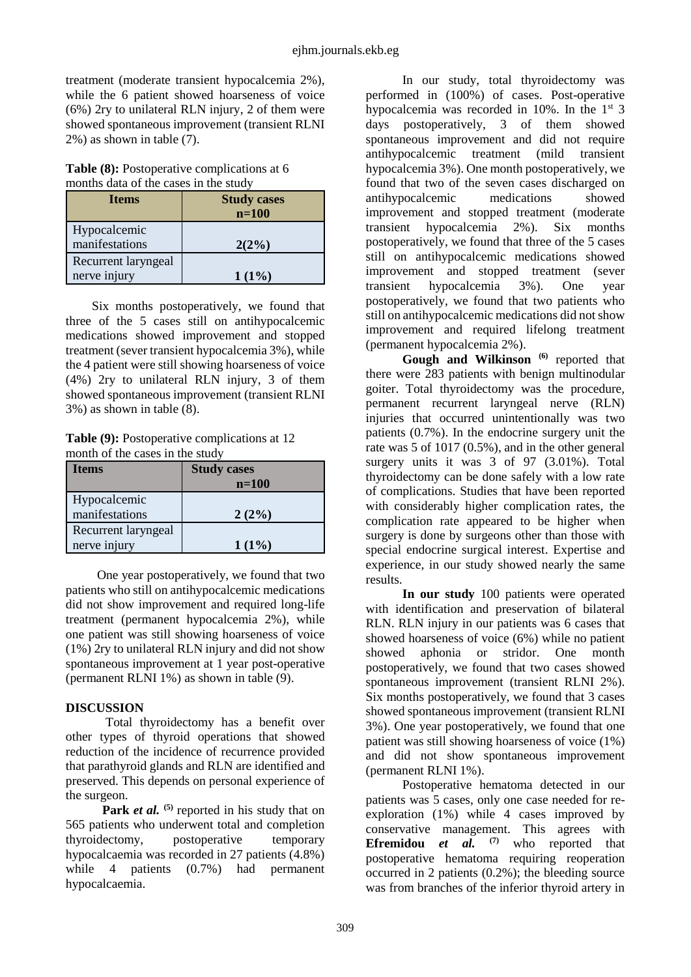treatment (moderate transient hypocalcemia 2%), while the 6 patient showed hoarseness of voice (6%) 2ry to unilateral RLN injury, 2 of them were showed spontaneous improvement (transient RLNI 2%) as shown in table (7).

**Table (8):** Postoperative complications at 6 months data of the cases in the study

| <b>Items</b>        | <b>Study cases</b><br>$n=100$ |
|---------------------|-------------------------------|
| Hypocalcemic        |                               |
| manifestations      | $2(2\%)$                      |
| Recurrent laryngeal |                               |
| nerve injury        | $1(1\%)$                      |

Six months postoperatively, we found that three of the 5 cases still on antihypocalcemic medications showed improvement and stopped treatment (sever transient hypocalcemia 3%), while the 4 patient were still showing hoarseness of voice (4%) 2ry to unilateral RLN injury, 3 of them showed spontaneous improvement (transient RLNI 3%) as shown in table (8).

**Table (9):** Postoperative complications at 12 month of the cases in the study

| <b>Items</b>        | <b>Study cases</b> |
|---------------------|--------------------|
|                     | $n=100$            |
| Hypocalcemic        |                    |
| manifestations      | 2(2%)              |
| Recurrent laryngeal |                    |
| nerve injury        | $1(1\%)$           |

One year postoperatively, we found that two patients who still on antihypocalcemic medications did not show improvement and required long-life treatment (permanent hypocalcemia 2%), while one patient was still showing hoarseness of voice (1%) 2ry to unilateral RLN injury and did not show spontaneous improvement at 1 year post-operative (permanent RLNI 1%) as shown in table (9).

## **DISCUSSION**

Total thyroidectomy has a benefit over other types of thyroid operations that showed reduction of the incidence of recurrence provided that parathyroid glands and RLN are identified and preserved. This depends on personal experience of the surgeon.

Park *et al.* <sup>(5)</sup> reported in his study that on 565 patients who underwent total and completion thyroidectomy, postoperative temporary hypocalcaemia was recorded in 27 patients (4.8%) while 4 patients (0.7%) had permanent hypocalcaemia.

In our study, total thyroidectomy was performed in (100%) of cases. Post-operative hypocalcemia was recorded in 10%. In the  $1<sup>st</sup>$  3 days postoperatively, 3 of them showed spontaneous improvement and did not require antihypocalcemic treatment (mild transient hypocalcemia 3%). One month postoperatively, we found that two of the seven cases discharged on antihypocalcemic medications showed improvement and stopped treatment (moderate transient hypocalcemia 2%). Six months postoperatively, we found that three of the 5 cases still on antihypocalcemic medications showed improvement and stopped treatment (sever<br>transient hypocalcemia 3%). One year transient hypocalcemia 3%). One year postoperatively, we found that two patients who still on antihypocalcemic medications did not show improvement and required lifelong treatment (permanent hypocalcemia 2%).

**Gough and Wilkinson (6)** reported that there were 283 patients with benign multinodular goiter. Total thyroidectomy was the procedure, permanent recurrent laryngeal nerve (RLN) injuries that occurred unintentionally was two patients (0.7%). In the endocrine surgery unit the rate was 5 of 1017 (0.5%), and in the other general surgery units it was 3 of 97 (3.01%). Total thyroidectomy can be done safely with a low rate of complications. Studies that have been reported with considerably higher complication rates, the complication rate appeared to be higher when surgery is done by surgeons other than those with special endocrine surgical interest. Expertise and experience, in our study showed nearly the same results.

**In our study** 100 patients were operated with identification and preservation of bilateral RLN. RLN injury in our patients was 6 cases that showed hoarseness of voice (6%) while no patient showed aphonia or stridor. One month postoperatively, we found that two cases showed spontaneous improvement (transient RLNI 2%). Six months postoperatively, we found that 3 cases showed spontaneous improvement (transient RLNI 3%). One year postoperatively, we found that one patient was still showing hoarseness of voice (1%) and did not show spontaneous improvement (permanent RLNI 1%).

Postoperative hematoma detected in our patients was 5 cases, only one case needed for reexploration (1%) while 4 cases improved by conservative management. This agrees with **Efremidou** *et al.* **(7)** who reported that postoperative hematoma requiring reoperation occurred in 2 patients (0.2%); the bleeding source was from branches of the inferior thyroid artery in